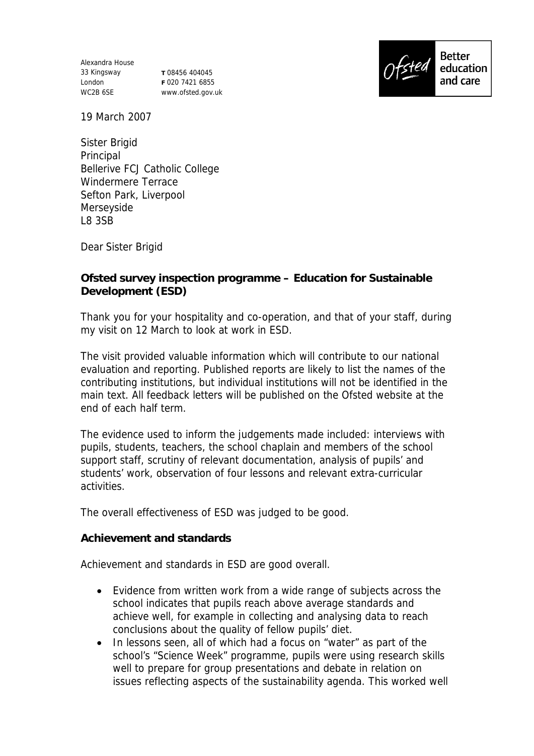Alexandra House 33 Kingsway **T** 08456 404045 London WC2B 6SE

**F** 020 7421 6855 www.ofsted.gov.uk



19 March 2007

Sister Brigid Principal Bellerive FCJ Catholic College Windermere Terrace Sefton Park, Liverpool Merseyside L8 3SB

Dear Sister Brigid

**Ofsted survey inspection programme – Education for Sustainable Development (ESD)** 

Thank you for your hospitality and co-operation, and that of your staff, during my visit on 12 March to look at work in ESD.

The visit provided valuable information which will contribute to our national evaluation and reporting. Published reports are likely to list the names of the contributing institutions, but individual institutions will not be identified in the main text. All feedback letters will be published on the Ofsted website at the end of each half term.

The evidence used to inform the judgements made included: interviews with pupils, students, teachers, the school chaplain and members of the school support staff, scrutiny of relevant documentation, analysis of pupils' and students' work, observation of four lessons and relevant extra-curricular activities.

The overall effectiveness of ESD was judged to be good.

**Achievement and standards** 

Achievement and standards in ESD are good overall.

- Evidence from written work from a wide range of subjects across the school indicates that pupils reach above average standards and achieve well, for example in collecting and analysing data to reach conclusions about the quality of fellow pupils' diet.
- In lessons seen, all of which had a focus on "water" as part of the school's "Science Week" programme, pupils were using research skills well to prepare for group presentations and debate in relation on issues reflecting aspects of the sustainability agenda. This worked well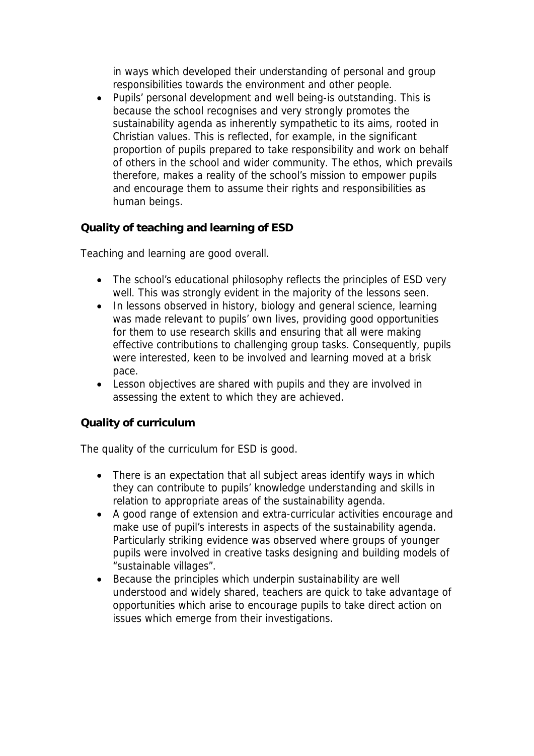in ways which developed their understanding of personal and group responsibilities towards the environment and other people.

 Pupils' personal development and well being-is outstanding. This is because the school recognises and very strongly promotes the sustainability agenda as inherently sympathetic to its aims, rooted in Christian values. This is reflected, for example, in the significant proportion of pupils prepared to take responsibility and work on behalf of others in the school and wider community. The ethos, which prevails therefore, makes a reality of the school's mission to empower pupils and encourage them to assume their rights and responsibilities as human beings.

**Quality of teaching and learning of ESD**

Teaching and learning are good overall.

- The school's educational philosophy reflects the principles of ESD very well. This was strongly evident in the majority of the lessons seen.
- In lessons observed in history, biology and general science, learning was made relevant to pupils' own lives, providing good opportunities for them to use research skills and ensuring that all were making effective contributions to challenging group tasks. Consequently, pupils were interested, keen to be involved and learning moved at a brisk pace.
- Lesson objectives are shared with pupils and they are involved in assessing the extent to which they are achieved.

## **Quality of curriculum**

The quality of the curriculum for ESD is good.

- There is an expectation that all subject areas identify ways in which they can contribute to pupils' knowledge understanding and skills in relation to appropriate areas of the sustainability agenda.
- A good range of extension and extra-curricular activities encourage and make use of pupil's interests in aspects of the sustainability agenda. Particularly striking evidence was observed where groups of younger pupils were involved in creative tasks designing and building models of "sustainable villages".
- Because the principles which underpin sustainability are well understood and widely shared, teachers are quick to take advantage of opportunities which arise to encourage pupils to take direct action on issues which emerge from their investigations.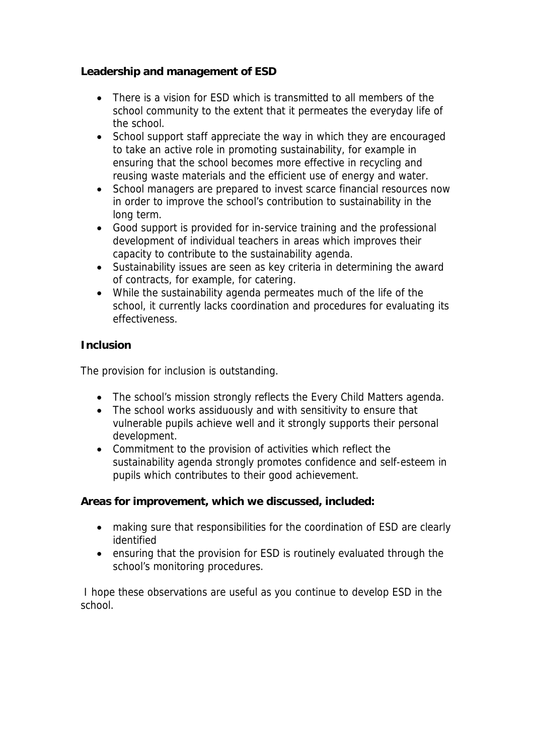**Leadership and management of ESD**

- There is a vision for ESD which is transmitted to all members of the school community to the extent that it permeates the everyday life of the school.
- School support staff appreciate the way in which they are encouraged to take an active role in promoting sustainability, for example in ensuring that the school becomes more effective in recycling and reusing waste materials and the efficient use of energy and water.
- School managers are prepared to invest scarce financial resources now in order to improve the school's contribution to sustainability in the long term.
- Good support is provided for in-service training and the professional development of individual teachers in areas which improves their capacity to contribute to the sustainability agenda.
- Sustainability issues are seen as key criteria in determining the award of contracts, for example, for catering.
- While the sustainability agenda permeates much of the life of the school, it currently lacks coordination and procedures for evaluating its effectiveness.

## **Inclusion**

The provision for inclusion is outstanding.

- The school's mission strongly reflects the Every Child Matters agenda.
- The school works assiduously and with sensitivity to ensure that vulnerable pupils achieve well and it strongly supports their personal development.
- Commitment to the provision of activities which reflect the sustainability agenda strongly promotes confidence and self-esteem in pupils which contributes to their good achievement.

**Areas for improvement, which we discussed, included:**

- making sure that responsibilities for the coordination of ESD are clearly identified
- ensuring that the provision for ESD is routinely evaluated through the school's monitoring procedures.

 I hope these observations are useful as you continue to develop ESD in the school.